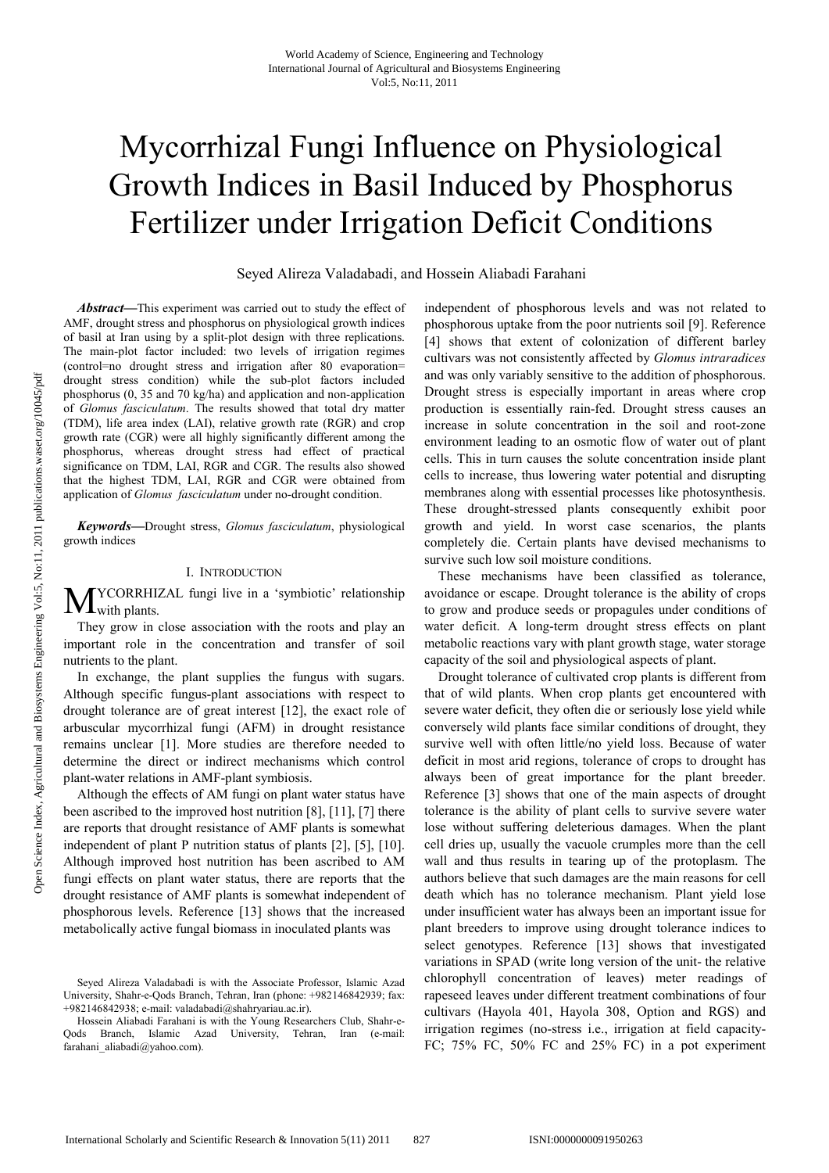# Mycorrhizal Fungi Influence on Physiological Growth Indices in Basil Induced by Phosphorus Fertilizer under Irrigation Deficit Conditions

Seyed Alireza Valadabadi, and Hossein Aliabadi Farahani

*Abstract***—**This experiment was carried out to study the effect of AMF, drought stress and phosphorus on physiological growth indices of basil at Iran using by a split-plot design with three replications. The main-plot factor included: two levels of irrigation regimes (control=no drought stress and irrigation after 80 evaporation= drought stress condition) while the sub-plot factors included phosphorus (0, 35 and 70 kg/ha) and application and non-application of *Glomus fasciculatum*. The results showed that total dry matter (TDM), life area index (LAI), relative growth rate (RGR) and crop growth rate (CGR) were all highly significantly different among the phosphorus, whereas drought stress had effect of practical significance on TDM, LAI, RGR and CGR. The results also showed that the highest TDM, LAI, RGR and CGR were obtained from application of *Glomus fasciculatum* under no-drought condition.

*Keywords***—**Drought stress, *Glomus fasciculatum*, physiological growth indices

# I. INTRODUCTION

YCORRHIZAL fungi live in a 'symbiotic' relationship with plants. M

They grow in close association with the roots and play an important role in the concentration and transfer of soil nutrients to the plant.

In exchange, the plant supplies the fungus with sugars. Although specific fungus-plant associations with respect to drought tolerance are of great interest [12], the exact role of arbuscular mycorrhizal fungi (AFM) in drought resistance remains unclear [1]. More studies are therefore needed to determine the direct or indirect mechanisms which control plant-water relations in AMF-plant symbiosis.

Although the effects of AM fungi on plant water status have been ascribed to the improved host nutrition [8], [11], [7] there are reports that drought resistance of AMF plants is somewhat independent of plant P nutrition status of plants [2], [5], [10]. Although improved host nutrition has been ascribed to AM fungi effects on plant water status, there are reports that the drought resistance of AMF plants is somewhat independent of phosphorous levels. Reference [13] shows that the increased metabolically active fungal biomass in inoculated plants was

independent of phosphorous levels and was not related to phosphorous uptake from the poor nutrients soil [9]. Reference [4] shows that extent of colonization of different barley cultivars was not consistently affected by *Glomus intraradices*  and was only variably sensitive to the addition of phosphorous. Drought stress is especially important in areas where crop production is essentially rain-fed. Drought stress causes an increase in solute concentration in the soil and root-zone environment leading to an osmotic flow of water out of plant cells. This in turn causes the solute concentration inside plant cells to increase, thus lowering water potential and disrupting membranes along with essential processes like photosynthesis. These drought-stressed plants consequently exhibit poor growth and yield. In worst case scenarios, the plants completely die. Certain plants have devised mechanisms to survive such low soil moisture conditions.

These mechanisms have been classified as tolerance, avoidance or escape. Drought tolerance is the ability of crops to grow and produce seeds or propagules under conditions of water deficit. A long-term drought stress effects on plant metabolic reactions vary with plant growth stage, water storage capacity of the soil and physiological aspects of plant.

Drought tolerance of cultivated crop plants is different from that of wild plants. When crop plants get encountered with severe water deficit, they often die or seriously lose yield while conversely wild plants face similar conditions of drought, they survive well with often little/no yield loss. Because of water deficit in most arid regions, tolerance of crops to drought has always been of great importance for the plant breeder. Reference [3] shows that one of the main aspects of drought tolerance is the ability of plant cells to survive severe water lose without suffering deleterious damages. When the plant cell dries up, usually the vacuole crumples more than the cell wall and thus results in tearing up of the protoplasm. The authors believe that such damages are the main reasons for cell death which has no tolerance mechanism. Plant yield lose under insufficient water has always been an important issue for plant breeders to improve using drought tolerance indices to select genotypes. Reference [13] shows that investigated variations in SPAD (write long version of the unit- the relative chlorophyll concentration of leaves) meter readings of rapeseed leaves under different treatment combinations of four cultivars (Hayola 401, Hayola 308, Option and RGS) and irrigation regimes (no-stress i.e., irrigation at field capacity-FC; 75% FC, 50% FC and 25% FC) in a pot experiment

Seyed Alireza Valadabadi is with the Associate Professor, Islamic Azad University, Shahr-e-Qods Branch, Tehran, Iran (phone: +982146842939; fax: +982146842938; e-mail: valadabadi@shahryariau.ac.ir).

Hossein Aliabadi Farahani is with the Young Researchers Club, Shahr-e-Qods Branch, Islamic Azad University, Tehran, Iran (e-mail: farahani aliabadi@yahoo.com).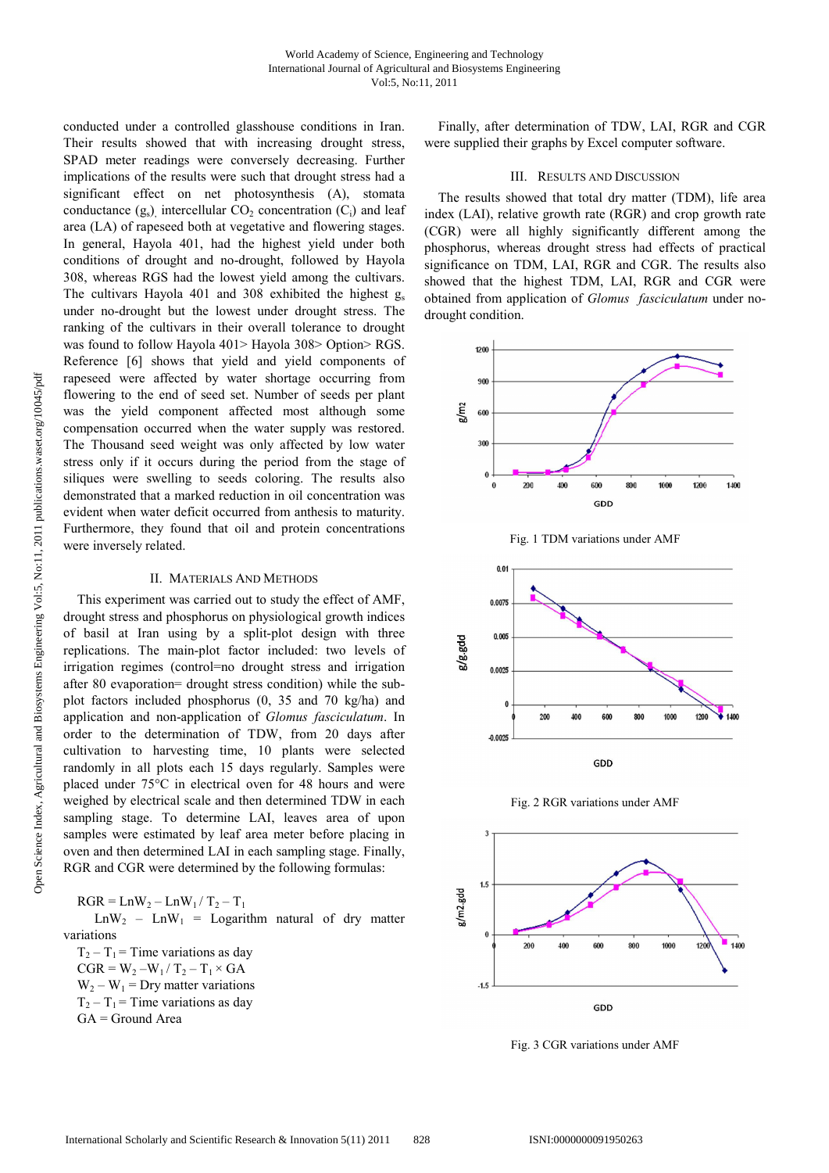conducted under a controlled glasshouse conditions in Iran. Their results showed that with increasing drought stress, SPAD meter readings were conversely decreasing. Further implications of the results were such that drought stress had a significant effect on net photosynthesis (A), stomata conductance  $(g_s)$ , intercellular  $CO_2$  concentration  $(C_i)$  and leaf area (LA) of rapeseed both at vegetative and flowering stages. In general, Hayola 401, had the highest yield under both conditions of drought and no-drought, followed by Hayola 308, whereas RGS had the lowest yield among the cultivars. The cultivars Hayola 401 and 308 exhibited the highest  $g_s$ under no-drought but the lowest under drought stress. The ranking of the cultivars in their overall tolerance to drought was found to follow Hayola 401> Hayola 308> Option> RGS. Reference [6] shows that yield and yield components of rapeseed were affected by water shortage occurring from flowering to the end of seed set. Number of seeds per plant was the yield component affected most although some compensation occurred when the water supply was restored. The Thousand seed weight was only affected by low water stress only if it occurs during the period from the stage of siliques were swelling to seeds coloring. The results also demonstrated that a marked reduction in oil concentration was evident when water deficit occurred from anthesis to maturity. Furthermore, they found that oil and protein concentrations were inversely related.

## II. MATERIALS AND METHODS

This experiment was carried out to study the effect of AMF, drought stress and phosphorus on physiological growth indices of basil at Iran using by a split-plot design with three replications. The main-plot factor included: two levels of irrigation regimes (control=no drought stress and irrigation after 80 evaporation= drought stress condition) while the subplot factors included phosphorus (0, 35 and 70 kg/ha) and application and non-application of *Glomus fasciculatum*. In order to the determination of TDW, from 20 days after cultivation to harvesting time, 10 plants were selected randomly in all plots each 15 days regularly. Samples were placed under 75°C in electrical oven for 48 hours and were weighed by electrical scale and then determined TDW in each sampling stage. To determine LAI, leaves area of upon samples were estimated by leaf area meter before placing in oven and then determined LAI in each sampling stage. Finally, RGR and CGR were determined by the following formulas:

 $RGR = \text{Ln}W_2 - \text{Ln}W_1 / T_2 - T_1$ 

 $\text{LnW}_2$  –  $\text{LnW}_1$  = Logarithm natural of dry matter variations

 $T_2 - T_1$  = Time variations as day  $CGR = W_2-W_1/T_2-T_1 \times GA$  $W_2 - W_1 = Dry$  matter variations  $T_2 - T_1$  = Time variations as day GA = Ground Area

Finally, after determination of TDW, LAI, RGR and CGR were supplied their graphs by Excel computer software.

# III. RESULTS AND DISCUSSION

The results showed that total dry matter (TDM), life area index (LAI), relative growth rate (RGR) and crop growth rate (CGR) were all highly significantly different among the phosphorus, whereas drought stress had effects of practical significance on TDM, LAI, RGR and CGR. The results also showed that the highest TDM, LAI, RGR and CGR were obtained from application of *Glomus fasciculatum* under nodrought condition.











Fig. 3 CGR variations under AMF